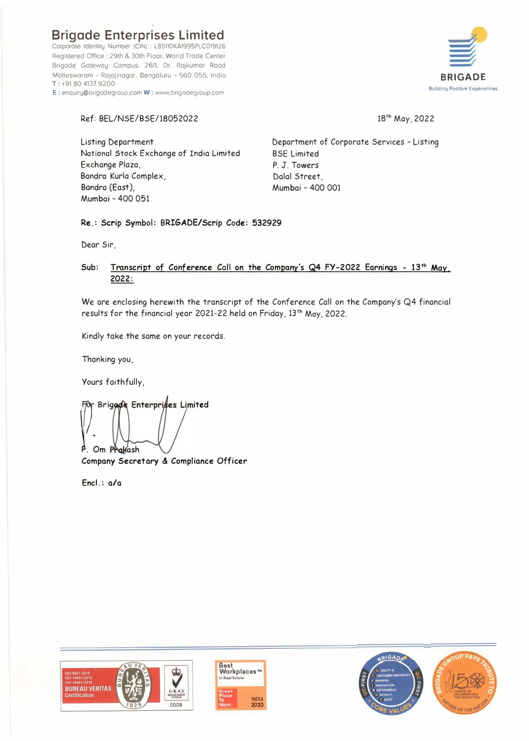**Brigade Enterprises Limited** Corporate Identity Number (CIN) · L85110KA1995PLC019126 Registered Office 29th & 30th Floor, World Trade Center Brigade Gateway Campus, 26/1, Dr. Rojkumor Rood Mollesworam - Rajajinogar, Bengoluru - 560 055, Indio T: +91 80 4137 9200 E : enquiry@brigodegroup.com W : www.brigadegroup.com



# Ref: BEL/NSE/BSE/18052022

18<sup>th</sup> May, 2022

Listing Department National Stock Exchange of India Limited Exchange Plaza, Bandra Kurla Complex, Bondre (East), Mumbai - 400 051

Department of Corporate Services - Listing BSE Limited P. J. Towers Dalal Street, Mumbai - 400 001

Re.: Scrip Symbol: BRIGADE/Scrip Code: 532929

Dear Sir,

# Sub: **Transcript of Conference** Call **on the Company's Q4 FY-2022 Earnings** - **13**th **May. 2022:**

We are enclosing herewith the transcript of the Conference Call on the Company's Q4 financial results for the financial year 2021-22 held on Friday, 13th May, 2022.

Kindly take the same on your records,

Thanking you,

Yours faithfully,

 $\left| \begin{array}{cc} \end{array} \right|$ Om Prakash Brigade Enterprises Limited

**Company Secretary & Compliance Officer** 

**Encl.: a/a** 





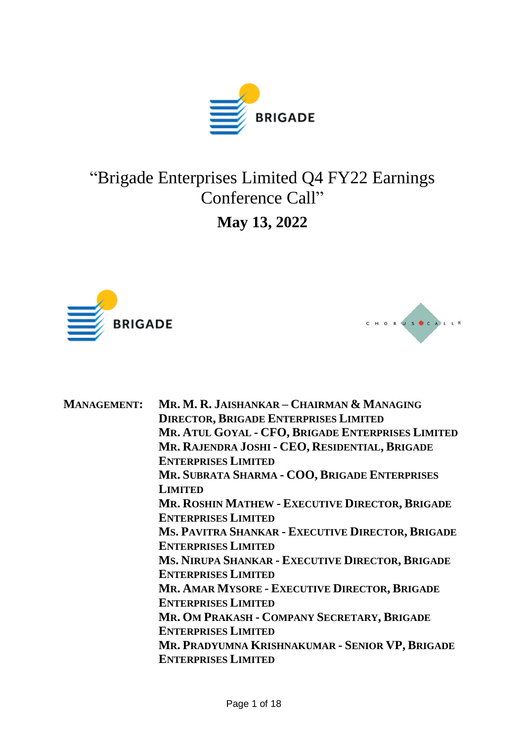

# "Brigade Enterprises Limited Q4 FY22 Earnings Conference Call" **May 13, 2022**





| <b>MANAGEMENT:</b> | Mr. M. R. JAISHANKAR – CHAIRMAN & MANAGING             |
|--------------------|--------------------------------------------------------|
|                    | <b>DIRECTOR, BRIGADE ENTERPRISES LIMITED</b>           |
|                    | MR. ATUL GOYAL - CFO, BRIGADE ENTERPRISES LIMITED      |
|                    | MR. RAJENDRA JOSHI - CEO, RESIDENTIAL, BRIGADE         |
|                    | <b>ENTERPRISES LIMITED</b>                             |
|                    | MR. SUBRATA SHARMA - COO, BRIGADE ENTERPRISES          |
|                    | <b>LIMITED</b>                                         |
|                    | <b>MR. ROSHIN MATHEW - EXECUTIVE DIRECTOR, BRIGADE</b> |
|                    | <b>ENTERPRISES LIMITED</b>                             |
|                    | MS. PAVITRA SHANKAR - EXECUTIVE DIRECTOR, BRIGADE      |
|                    | <b>ENTERPRISES LIMITED</b>                             |
|                    | MS. NIRUPA SHANKAR - EXECUTIVE DIRECTOR, BRIGADE       |
|                    | <b>ENTERPRISES LIMITED</b>                             |
|                    | MR. AMAR MYSORE - EXECUTIVE DIRECTOR, BRIGADE          |
|                    | <b>ENTERPRISES LIMITED</b>                             |
|                    | MR. OM PRAKASH - COMPANY SECRETARY, BRIGADE            |
|                    | <b>ENTERPRISES LIMITED</b>                             |
|                    | MR. PRADYUMNA KRISHNAKUMAR - SENIOR VP, BRIGADE        |
|                    | <b>ENTERPRISES LIMITED</b>                             |
|                    |                                                        |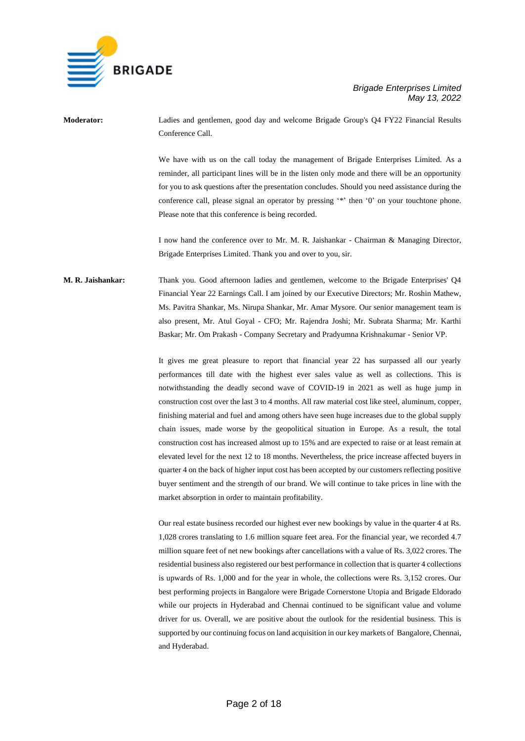

**Moderator:** Ladies and gentlemen, good day and welcome Brigade Group's Q4 FY22 Financial Results Conference Call.

> We have with us on the call today the management of Brigade Enterprises Limited. As a reminder, all participant lines will be in the listen only mode and there will be an opportunity for you to ask questions after the presentation concludes. Should you need assistance during the conference call, please signal an operator by pressing '\*' then '0' on your touchtone phone. Please note that this conference is being recorded.

> I now hand the conference over to Mr. M. R. Jaishankar - Chairman & Managing Director, Brigade Enterprises Limited. Thank you and over to you, sir.

# **M. R. Jaishankar:** Thank you. Good afternoon ladies and gentlemen, welcome to the Brigade Enterprises' Q4 Financial Year 22 Earnings Call. I am joined by our Executive Directors; Mr. Roshin Mathew, Ms. Pavitra Shankar, Ms. Nirupa Shankar, Mr. Amar Mysore. Our senior management team is also present, Mr. Atul Goyal - CFO; Mr. Rajendra Joshi; Mr. Subrata Sharma; Mr. Karthi Baskar; Mr. Om Prakash - Company Secretary and Pradyumna Krishnakumar - Senior VP.

It gives me great pleasure to report that financial year 22 has surpassed all our yearly performances till date with the highest ever sales value as well as collections. This is notwithstanding the deadly second wave of COVID-19 in 2021 as well as huge jump in construction cost over the last 3 to 4 months. All raw material cost like steel, aluminum, copper, finishing material and fuel and among others have seen huge increases due to the global supply chain issues, made worse by the geopolitical situation in Europe. As a result, the total construction cost has increased almost up to 15% and are expected to raise or at least remain at elevated level for the next 12 to 18 months. Nevertheless, the price increase affected buyers in quarter 4 on the back of higher input cost has been accepted by our customers reflecting positive buyer sentiment and the strength of our brand. We will continue to take prices in line with the market absorption in order to maintain profitability.

Our real estate business recorded our highest ever new bookings by value in the quarter 4 at Rs. 1,028 crores translating to 1.6 million square feet area. For the financial year, we recorded 4.7 million square feet of net new bookings after cancellations with a value of Rs. 3,022 crores. The residential business also registered our best performance in collection that is quarter 4 collections is upwards of Rs. 1,000 and for the year in whole, the collections were Rs. 3,152 crores. Our best performing projects in Bangalore were Brigade Cornerstone Utopia and Brigade Eldorado while our projects in Hyderabad and Chennai continued to be significant value and volume driver for us. Overall, we are positive about the outlook for the residential business. This is supported by our continuing focus on land acquisition in our key markets of Bangalore, Chennai, and Hyderabad.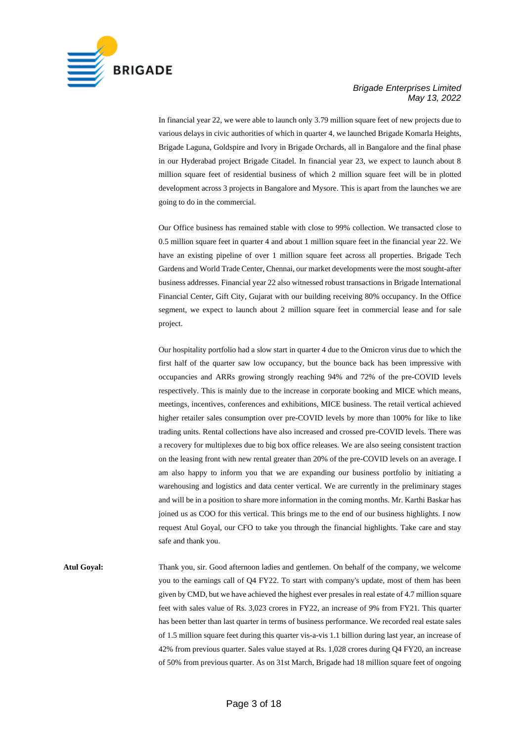

In financial year 22, we were able to launch only 3.79 million square feet of new projects due to various delays in civic authorities of which in quarter 4, we launched Brigade Komarla Heights, Brigade Laguna, Goldspire and Ivory in Brigade Orchards, all in Bangalore and the final phase in our Hyderabad project Brigade Citadel. In financial year 23, we expect to launch about 8 million square feet of residential business of which 2 million square feet will be in plotted development across 3 projects in Bangalore and Mysore. This is apart from the launches we are going to do in the commercial.

Our Office business has remained stable with close to 99% collection. We transacted close to 0.5 million square feet in quarter 4 and about 1 million square feet in the financial year 22. We have an existing pipeline of over 1 million square feet across all properties. Brigade Tech Gardens and World Trade Center, Chennai, our market developments were the most sought-after business addresses. Financial year 22 also witnessed robust transactions in Brigade International Financial Center, Gift City, Gujarat with our building receiving 80% occupancy. In the Office segment, we expect to launch about 2 million square feet in commercial lease and for sale project.

Our hospitality portfolio had a slow start in quarter 4 due to the Omicron virus due to which the first half of the quarter saw low occupancy, but the bounce back has been impressive with occupancies and ARRs growing strongly reaching 94% and 72% of the pre-COVID levels respectively. This is mainly due to the increase in corporate booking and MICE which means, meetings, incentives, conferences and exhibitions, MICE business. The retail vertical achieved higher retailer sales consumption over pre-COVID levels by more than 100% for like to like trading units. Rental collections have also increased and crossed pre-COVID levels. There was a recovery for multiplexes due to big box office releases. We are also seeing consistent traction on the leasing front with new rental greater than 20% of the pre-COVID levels on an average. I am also happy to inform you that we are expanding our business portfolio by initiating a warehousing and logistics and data center vertical. We are currently in the preliminary stages and will be in a position to share more information in the coming months. Mr. Karthi Baskar has joined us as COO for this vertical. This brings me to the end of our business highlights. I now request Atul Goyal, our CFO to take you through the financial highlights. Take care and stay safe and thank you.

**Atul Goyal:** Thank you, sir. Good afternoon ladies and gentlemen. On behalf of the company, we welcome you to the earnings call of Q4 FY22. To start with company's update, most of them has been given by CMD, but we have achieved the highest ever presales in real estate of 4.7 million square feet with sales value of Rs. 3,023 crores in FY22, an increase of 9% from FY21. This quarter has been better than last quarter in terms of business performance. We recorded real estate sales of 1.5 million square feet during this quarter vis-a-vis 1.1 billion during last year, an increase of 42% from previous quarter. Sales value stayed at Rs. 1,028 crores during Q4 FY20, an increase of 50% from previous quarter. As on 31st March, Brigade had 18 million square feet of ongoing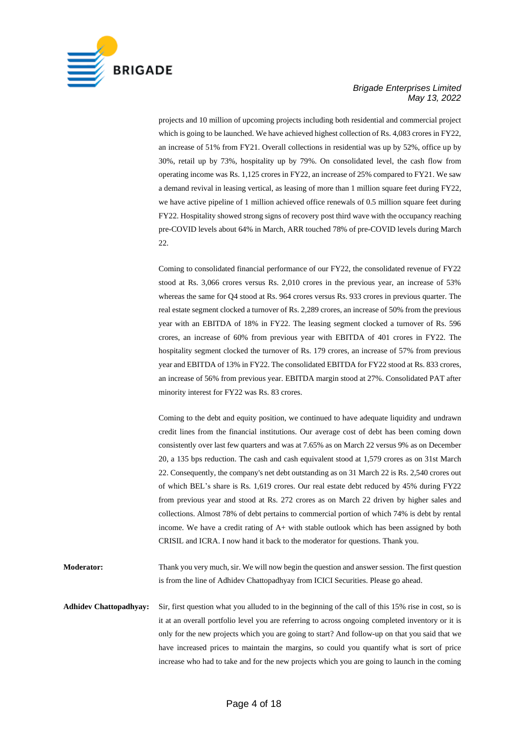

projects and 10 million of upcoming projects including both residential and commercial project which is going to be launched. We have achieved highest collection of Rs. 4,083 crores in FY22, an increase of 51% from FY21. Overall collections in residential was up by 52%, office up by 30%, retail up by 73%, hospitality up by 79%. On consolidated level, the cash flow from operating income was Rs. 1,125 crores in FY22, an increase of 25% compared to FY21. We saw a demand revival in leasing vertical, as leasing of more than 1 million square feet during FY22, we have active pipeline of 1 million achieved office renewals of 0.5 million square feet during FY22. Hospitality showed strong signs of recovery post third wave with the occupancy reaching pre-COVID levels about 64% in March, ARR touched 78% of pre-COVID levels during March 22.

Coming to consolidated financial performance of our FY22, the consolidated revenue of FY22 stood at Rs. 3,066 crores versus Rs. 2,010 crores in the previous year, an increase of 53% whereas the same for Q4 stood at Rs. 964 crores versus Rs. 933 crores in previous quarter. The real estate segment clocked a turnover of Rs. 2,289 crores, an increase of 50% from the previous year with an EBITDA of 18% in FY22. The leasing segment clocked a turnover of Rs. 596 crores, an increase of 60% from previous year with EBITDA of 401 crores in FY22. The hospitality segment clocked the turnover of Rs. 179 crores, an increase of 57% from previous year and EBITDA of 13% in FY22. The consolidated EBITDA for FY22 stood at Rs. 833 crores, an increase of 56% from previous year. EBITDA margin stood at 27%. Consolidated PAT after minority interest for FY22 was Rs. 83 crores.

Coming to the debt and equity position, we continued to have adequate liquidity and undrawn credit lines from the financial institutions. Our average cost of debt has been coming down consistently over last few quarters and was at 7.65% as on March 22 versus 9% as on December 20, a 135 bps reduction. The cash and cash equivalent stood at 1,579 crores as on 31st March 22. Consequently, the company's net debt outstanding as on 31 March 22 is Rs. 2,540 crores out of which BEL's share is Rs. 1,619 crores. Our real estate debt reduced by 45% during FY22 from previous year and stood at Rs. 272 crores as on March 22 driven by higher sales and collections. Almost 78% of debt pertains to commercial portion of which 74% is debt by rental income. We have a credit rating of A+ with stable outlook which has been assigned by both CRISIL and ICRA. I now hand it back to the moderator for questions. Thank you.

**Moderator:** Thank you very much, sir. We will now begin the question and answer session. The first question is from the line of Adhidev Chattopadhyay from ICICI Securities. Please go ahead.

**Adhidev Chattopadhyay:** Sir, first question what you alluded to in the beginning of the call of this 15% rise in cost, so is it at an overall portfolio level you are referring to across ongoing completed inventory or it is only for the new projects which you are going to start? And follow-up on that you said that we have increased prices to maintain the margins, so could you quantify what is sort of price increase who had to take and for the new projects which you are going to launch in the coming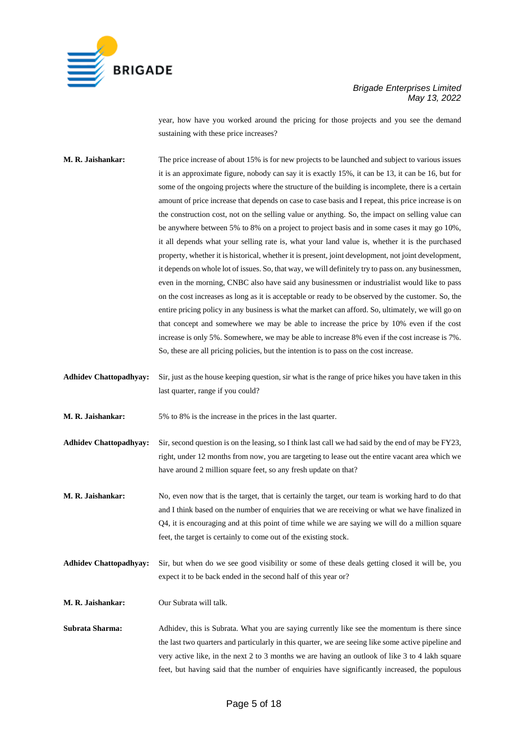

year, how have you worked around the pricing for those projects and you see the demand sustaining with these price increases?

**M. R. Jaishankar:** The price increase of about 15% is for new projects to be launched and subject to various issues it is an approximate figure, nobody can say it is exactly 15%, it can be 13, it can be 16, but for some of the ongoing projects where the structure of the building is incomplete, there is a certain amount of price increase that depends on case to case basis and I repeat, this price increase is on the construction cost, not on the selling value or anything. So, the impact on selling value can be anywhere between 5% to 8% on a project to project basis and in some cases it may go 10%, it all depends what your selling rate is, what your land value is, whether it is the purchased property, whether it is historical, whether it is present, joint development, not joint development, it depends on whole lot of issues. So, that way, we will definitely try to pass on. any businessmen, even in the morning, CNBC also have said any businessmen or industrialist would like to pass on the cost increases as long as it is acceptable or ready to be observed by the customer. So, the entire pricing policy in any business is what the market can afford. So, ultimately, we will go on that concept and somewhere we may be able to increase the price by 10% even if the cost increase is only 5%. Somewhere, we may be able to increase 8% even if the cost increase is 7%. So, these are all pricing policies, but the intention is to pass on the cost increase.

**Adhidev Chattopadhyay:** Sir, just as the house keeping question, sir what is the range of price hikes you have taken in this last quarter, range if you could?

**M. R. Jaishankar:** 5% to 8% is the increase in the prices in the last quarter.

**Adhidev Chattopadhyay:** Sir, second question is on the leasing, so I think last call we had said by the end of may be FY23, right, under 12 months from now, you are targeting to lease out the entire vacant area which we have around 2 million square feet, so any fresh update on that?

**M. R. Jaishankar:** No, even now that is the target, that is certainly the target, our team is working hard to do that and I think based on the number of enquiries that we are receiving or what we have finalized in Q4, it is encouraging and at this point of time while we are saying we will do a million square feet, the target is certainly to come out of the existing stock.

**Adhidev Chattopadhyay:** Sir, but when do we see good visibility or some of these deals getting closed it will be, you expect it to be back ended in the second half of this year or?

**M. R. Jaishankar:** Our Subrata will talk.

**Subrata Sharma:** Adhidev, this is Subrata. What you are saying currently like see the momentum is there since the last two quarters and particularly in this quarter, we are seeing like some active pipeline and very active like, in the next 2 to 3 months we are having an outlook of like 3 to 4 lakh square feet, but having said that the number of enquiries have significantly increased, the populous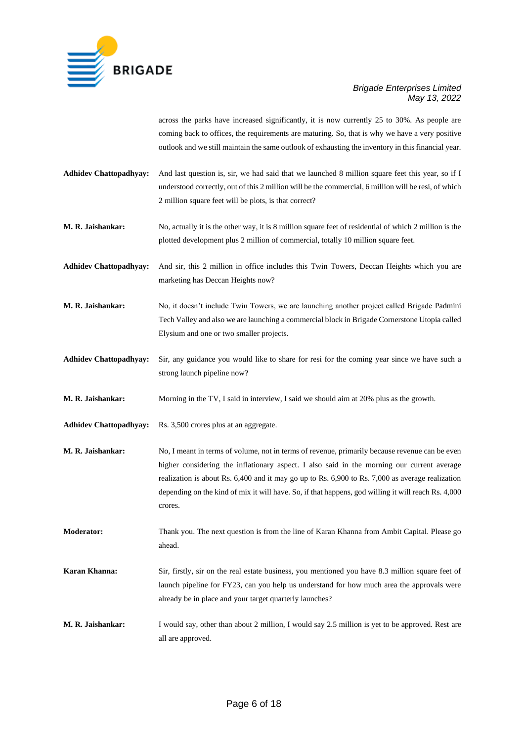

across the parks have increased significantly, it is now currently 25 to 30%. As people are coming back to offices, the requirements are maturing. So, that is why we have a very positive outlook and we still maintain the same outlook of exhausting the inventory in this financial year.

- **Adhidev Chattopadhyay:** And last question is, sir, we had said that we launched 8 million square feet this year, so if I understood correctly, out of this 2 million will be the commercial, 6 million will be resi, of which 2 million square feet will be plots, is that correct?
- **M. R. Jaishankar:** No, actually it is the other way, it is 8 million square feet of residential of which 2 million is the plotted development plus 2 million of commercial, totally 10 million square feet.

**Adhidev Chattopadhyay:** And sir, this 2 million in office includes this Twin Towers, Deccan Heights which you are marketing has Deccan Heights now?

**M. R. Jaishankar:** No, it doesn't include Twin Towers, we are launching another project called Brigade Padmini Tech Valley and also we are launching a commercial block in Brigade Cornerstone Utopia called Elysium and one or two smaller projects.

**Adhidev Chattopadhyay:** Sir, any guidance you would like to share for resi for the coming year since we have such a strong launch pipeline now?

**M. R. Jaishankar:** Morning in the TV, I said in interview, I said we should aim at 20% plus as the growth.

**Adhidev Chattopadhyay:** Rs. 3,500 crores plus at an aggregate.

**M. R. Jaishankar:** No, I meant in terms of volume, not in terms of revenue, primarily because revenue can be even higher considering the inflationary aspect. I also said in the morning our current average realization is about Rs. 6,400 and it may go up to Rs. 6,900 to Rs. 7,000 as average realization depending on the kind of mix it will have. So, if that happens, god willing it will reach Rs. 4,000 crores.

**Moderator:** Thank you. The next question is from the line of Karan Khanna from Ambit Capital. Please go ahead.

- **Karan Khanna:** Sir, firstly, sir on the real estate business, you mentioned you have 8.3 million square feet of launch pipeline for FY23, can you help us understand for how much area the approvals were already be in place and your target quarterly launches?
- **M. R. Jaishankar:** I would say, other than about 2 million, I would say 2.5 million is yet to be approved. Rest are all are approved.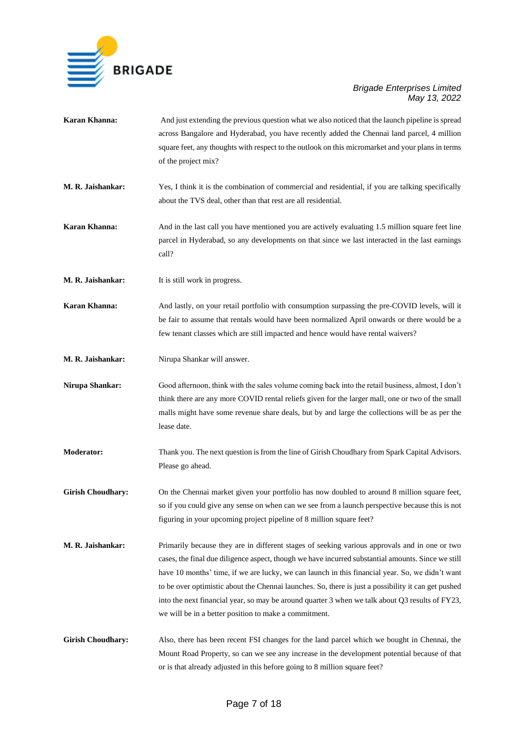

- **Karan Khanna:** And just extending the previous question what we also noticed that the launch pipeline is spread across Bangalore and Hyderabad, you have recently added the Chennai land parcel, 4 million square feet, any thoughts with respect to the outlook on this micromarket and your plans in terms of the project mix?
- **M. R. Jaishankar:** Yes, I think it is the combination of commercial and residential, if you are talking specifically about the TVS deal, other than that rest are all residential.
- **Karan Khanna:** And in the last call you have mentioned you are actively evaluating 1.5 million square feet line parcel in Hyderabad, so any developments on that since we last interacted in the last earnings call?
- **M. R. Jaishankar:** It is still work in progress.

**Karan Khanna:** And lastly, on your retail portfolio with consumption surpassing the pre-COVID levels, will it be fair to assume that rentals would have been normalized April onwards or there would be a few tenant classes which are still impacted and hence would have rental waivers?

**M. R. Jaishankar:** Nirupa Shankar will answer.

**Nirupa Shankar:** Good afternoon, think with the sales volume coming back into the retail business, almost, I don't think there are any more COVID rental reliefs given for the larger mall, one or two of the small malls might have some revenue share deals, but by and large the collections will be as per the lease date.

**Moderator:** Thank you. The next question is from the line of Girish Choudhary from Spark Capital Advisors. Please go ahead.

**Girish Choudhary:** On the Chennai market given your portfolio has now doubled to around 8 million square feet, so if you could give any sense on when can we see from a launch perspective because this is not figuring in your upcoming project pipeline of 8 million square feet?

- **M. R. Jaishankar:** Primarily because they are in different stages of seeking various approvals and in one or two cases, the final due diligence aspect, though we have incurred substantial amounts. Since we still have 10 months' time, if we are lucky, we can launch in this financial year. So, we didn't want to be over optimistic about the Chennai launches. So, there is just a possibility it can get pushed into the next financial year, so may be around quarter 3 when we talk about Q3 results of FY23, we will be in a better position to make a commitment.
- **Girish Choudhary:** Also, there has been recent FSI changes for the land parcel which we bought in Chennai, the Mount Road Property, so can we see any increase in the development potential because of that or is that already adjusted in this before going to 8 million square feet?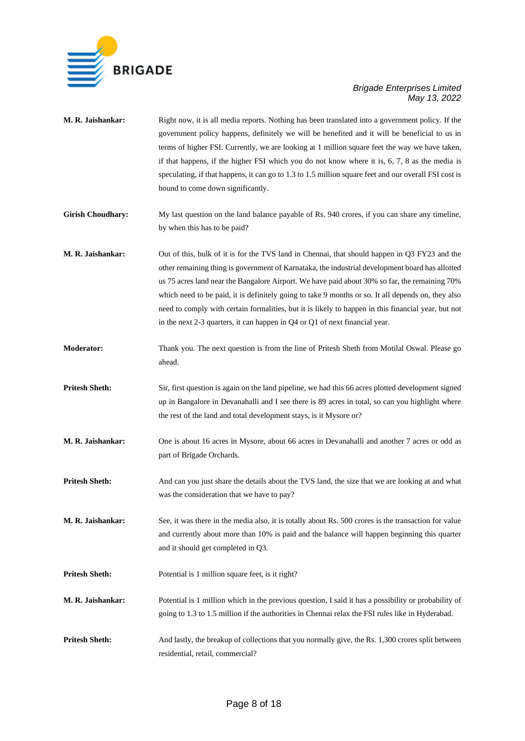

| M. R. Jaishankar:        | Right now, it is all media reports. Nothing has been translated into a government policy. If the<br>government policy happens, definitely we will be benefited and it will be beneficial to us in<br>terms of higher FSI. Currently, we are looking at 1 million square feet the way we have taken,<br>if that happens, if the higher FSI which you do not know where it is, 6, 7, 8 as the media is<br>speculating, if that happens, it can go to 1.3 to 1.5 million square feet and our overall FSI cost is<br>bound to come down significantly.                                                |
|--------------------------|---------------------------------------------------------------------------------------------------------------------------------------------------------------------------------------------------------------------------------------------------------------------------------------------------------------------------------------------------------------------------------------------------------------------------------------------------------------------------------------------------------------------------------------------------------------------------------------------------|
| <b>Girish Choudhary:</b> | My last question on the land balance payable of Rs. 940 crores, if you can share any timeline,<br>by when this has to be paid?                                                                                                                                                                                                                                                                                                                                                                                                                                                                    |
| M. R. Jaishankar:        | Out of this, bulk of it is for the TVS land in Chennai, that should happen in Q3 FY23 and the<br>other remaining thing is government of Karnataka, the industrial development board has allotted<br>us 75 acres land near the Bangalore Airport. We have paid about 30% so far, the remaining 70%<br>which need to be paid, it is definitely going to take 9 months or so. It all depends on, they also<br>need to comply with certain formalities, but it is likely to happen in this financial year, but not<br>in the next 2-3 quarters, it can happen in $Q4$ or $Q1$ of next financial year. |
| Moderator:               | Thank you. The next question is from the line of Pritesh Sheth from Motilal Oswal. Please go<br>ahead.                                                                                                                                                                                                                                                                                                                                                                                                                                                                                            |
| <b>Pritesh Sheth:</b>    | Sir, first question is again on the land pipeline, we had this 66 acres plotted development signed<br>up in Bangalore in Devanahalli and I see there is 89 acres in total, so can you highlight where<br>the rest of the land and total development stays, is it Mysore or?                                                                                                                                                                                                                                                                                                                       |
| M. R. Jaishankar:        | One is about 16 acres in Mysore, about 66 acres in Devanahalli and another 7 acres or odd as<br>part of Brigade Orchards.                                                                                                                                                                                                                                                                                                                                                                                                                                                                         |
| <b>Pritesh Sheth:</b>    | And can you just share the details about the TVS land, the size that we are looking at and what<br>was the consideration that we have to pay?                                                                                                                                                                                                                                                                                                                                                                                                                                                     |
| M. R. Jaishankar:        | See, it was there in the media also, it is totally about Rs. 500 crores is the transaction for value<br>and currently about more than 10% is paid and the balance will happen beginning this quarter<br>and it should get completed in Q3.                                                                                                                                                                                                                                                                                                                                                        |
| <b>Pritesh Sheth:</b>    | Potential is 1 million square feet, is it right?                                                                                                                                                                                                                                                                                                                                                                                                                                                                                                                                                  |
| M. R. Jaishankar:        | Potential is 1 million which in the previous question, I said it has a possibility or probability of<br>going to 1.3 to 1.5 million if the authorities in Chennai relax the FSI rules like in Hyderabad.                                                                                                                                                                                                                                                                                                                                                                                          |
| <b>Pritesh Sheth:</b>    | And lastly, the breakup of collections that you normally give, the Rs. 1,300 crores split between<br>residential, retail, commercial?                                                                                                                                                                                                                                                                                                                                                                                                                                                             |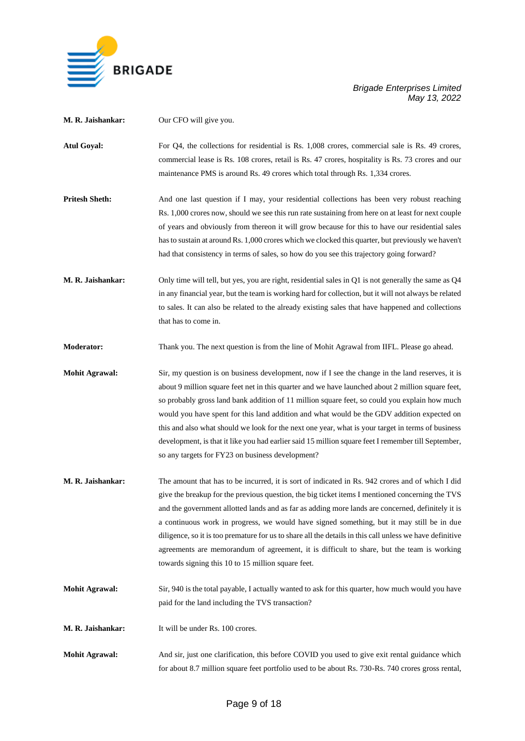

| M. R. Jaishankar:     | Our CFO will give you.                                                                                                                                                                                                                                                                                                                                                                                                                                                                                                                                                                                                                                               |
|-----------------------|----------------------------------------------------------------------------------------------------------------------------------------------------------------------------------------------------------------------------------------------------------------------------------------------------------------------------------------------------------------------------------------------------------------------------------------------------------------------------------------------------------------------------------------------------------------------------------------------------------------------------------------------------------------------|
| <b>Atul Goyal:</b>    | For Q4, the collections for residential is Rs. 1,008 crores, commercial sale is Rs. 49 crores,<br>commercial lease is Rs. 108 crores, retail is Rs. 47 crores, hospitality is Rs. 73 crores and our<br>maintenance PMS is around Rs. 49 crores which total through Rs. 1,334 crores.                                                                                                                                                                                                                                                                                                                                                                                 |
| <b>Pritesh Sheth:</b> | And one last question if I may, your residential collections has been very robust reaching<br>Rs. 1,000 crores now, should we see this run rate sustaining from here on at least for next couple<br>of years and obviously from thereon it will grow because for this to have our residential sales<br>has to sustain at around Rs. 1,000 crores which we clocked this quarter, but previously we haven't<br>had that consistency in terms of sales, so how do you see this trajectory going forward?                                                                                                                                                                |
| M. R. Jaishankar:     | Only time will tell, but yes, you are right, residential sales in Q1 is not generally the same as $Q4$<br>in any financial year, but the team is working hard for collection, but it will not always be related<br>to sales. It can also be related to the already existing sales that have happened and collections<br>that has to come in.                                                                                                                                                                                                                                                                                                                         |
| <b>Moderator:</b>     | Thank you. The next question is from the line of Mohit Agrawal from IIFL. Please go ahead.                                                                                                                                                                                                                                                                                                                                                                                                                                                                                                                                                                           |
| <b>Mohit Agrawal:</b> | Sir, my question is on business development, now if I see the change in the land reserves, it is<br>about 9 million square feet net in this quarter and we have launched about 2 million square feet,<br>so probably gross land bank addition of 11 million square feet, so could you explain how much<br>would you have spent for this land addition and what would be the GDV addition expected on<br>this and also what should we look for the next one year, what is your target in terms of business<br>development, is that it like you had earlier said 15 million square feet I remember till September,<br>so any targets for FY23 on business development? |
| M. R. Jaishankar:     | The amount that has to be incurred, it is sort of indicated in Rs. 942 crores and of which I did<br>give the breakup for the previous question, the big ticket items I mentioned concerning the TVS<br>and the government allotted lands and as far as adding more lands are concerned, definitely it is<br>a continuous work in progress, we would have signed something, but it may still be in due<br>diligence, so it is too premature for us to share all the details in this call unless we have definitive<br>agreements are memorandum of agreement, it is difficult to share, but the team is working<br>towards signing this 10 to 15 million square feet. |
| <b>Mohit Agrawal:</b> | Sir, 940 is the total payable, I actually wanted to ask for this quarter, how much would you have<br>paid for the land including the TVS transaction?                                                                                                                                                                                                                                                                                                                                                                                                                                                                                                                |
| M. R. Jaishankar:     | It will be under Rs. 100 crores.                                                                                                                                                                                                                                                                                                                                                                                                                                                                                                                                                                                                                                     |
| <b>Mohit Agrawal:</b> | And sir, just one clarification, this before COVID you used to give exit rental guidance which<br>for about 8.7 million square feet portfolio used to be about Rs. 730-Rs. 740 crores gross rental,                                                                                                                                                                                                                                                                                                                                                                                                                                                                  |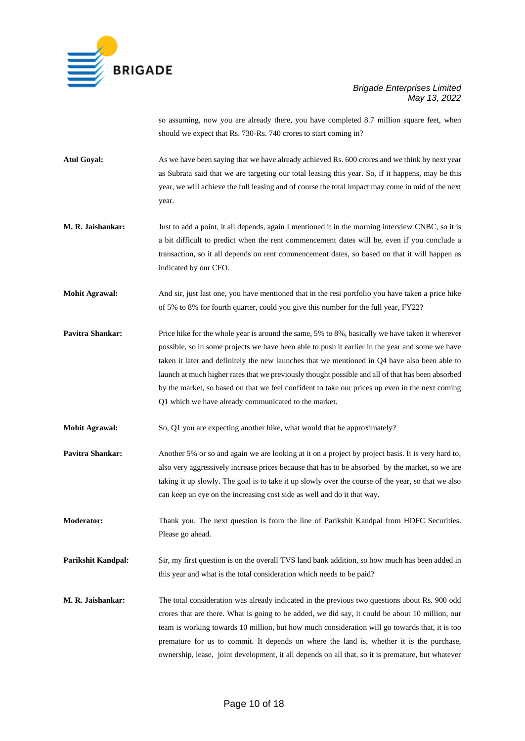

so assuming, now you are already there, you have completed 8.7 million square feet, when should we expect that Rs. 730-Rs. 740 crores to start coming in?

- Atul Goyal: As we have been saying that we have already achieved Rs. 600 crores and we think by next year as Subrata said that we are targeting our total leasing this year. So, if it happens, may be this year, we will achieve the full leasing and of course the total impact may come in mid of the next year.
- **M. R. Jaishankar:** Just to add a point, it all depends, again I mentioned it in the morning interview CNBC, so it is a bit difficult to predict when the rent commencement dates will be, even if you conclude a transaction, so it all depends on rent commencement dates, so based on that it will happen as indicated by our CFO.
- **Mohit Agrawal:** And sir, just last one, you have mentioned that in the resi portfolio you have taken a price hike of 5% to 8% for fourth quarter, could you give this number for the full year, FY22?
- **Pavitra Shankar:** Price hike for the whole year is around the same, 5% to 8%, basically we have taken it wherever possible, so in some projects we have been able to push it earlier in the year and some we have taken it later and definitely the new launches that we mentioned in Q4 have also been able to launch at much higher rates that we previously thought possible and all of that has been absorbed by the market, so based on that we feel confident to take our prices up even in the next coming Q1 which we have already communicated to the market.
- **Mohit Agrawal:** So, Q1 you are expecting another hike, what would that be approximately?
- **Pavitra Shankar:** Another 5% or so and again we are looking at it on a project by project basis. It is very hard to, also very aggressively increase prices because that has to be absorbed by the market, so we are taking it up slowly. The goal is to take it up slowly over the course of the year, so that we also can keep an eye on the increasing cost side as well and do it that way.
- **Moderator:** Thank you. The next question is from the line of Parikshit Kandpal from HDFC Securities. Please go ahead.
- **Parikshit Kandpal:** Sir, my first question is on the overall TVS land bank addition, so how much has been added in this year and what is the total consideration which needs to be paid?
- **M. R. Jaishankar:** The total consideration was already indicated in the previous two questions about Rs. 900 odd crores that are there. What is going to be added, we did say, it could be about 10 million, our team is working towards 10 million, but how much consideration will go towards that, it is too premature for us to commit. It depends on where the land is, whether it is the purchase, ownership, lease, joint development, it all depends on all that, so it is premature, but whatever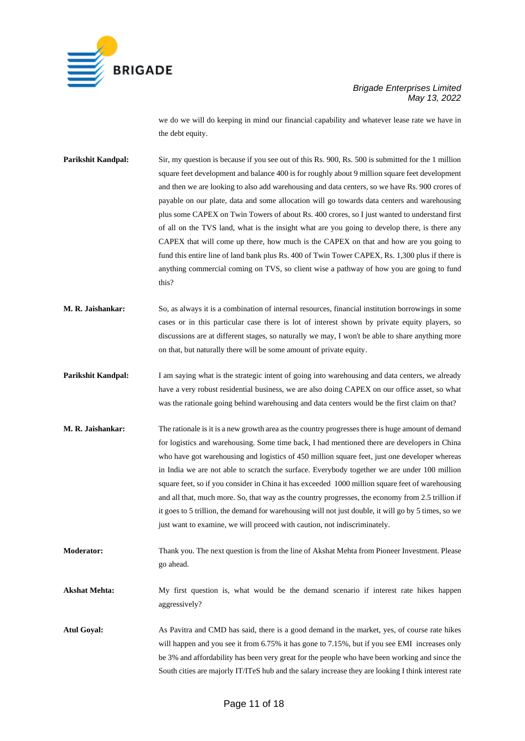

we do we will do keeping in mind our financial capability and whatever lease rate we have in the debt equity.

**Parikshit Kandpal:** Sir, my question is because if you see out of this Rs. 900, Rs. 500 is submitted for the 1 million square feet development and balance 400 is for roughly about 9 million square feet development and then we are looking to also add warehousing and data centers, so we have Rs. 900 crores of payable on our plate, data and some allocation will go towards data centers and warehousing plus some CAPEX on Twin Towers of about Rs. 400 crores, so I just wanted to understand first of all on the TVS land, what is the insight what are you going to develop there, is there any CAPEX that will come up there, how much is the CAPEX on that and how are you going to fund this entire line of land bank plus Rs. 400 of Twin Tower CAPEX, Rs. 1,300 plus if there is anything commercial coming on TVS, so client wise a pathway of how you are going to fund this?

- **M. R. Jaishankar:** So, as always it is a combination of internal resources, financial institution borrowings in some cases or in this particular case there is lot of interest shown by private equity players, so discussions are at different stages, so naturally we may, I won't be able to share anything more on that, but naturally there will be some amount of private equity.
- **Parikshit Kandpal:** I am saying what is the strategic intent of going into warehousing and data centers, we already have a very robust residential business, we are also doing CAPEX on our office asset, so what was the rationale going behind warehousing and data centers would be the first claim on that?
- **M. R. Jaishankar:** The rationale is it is a new growth area as the country progresses there is huge amount of demand for logistics and warehousing. Some time back, I had mentioned there are developers in China who have got warehousing and logistics of 450 million square feet, just one developer whereas in India we are not able to scratch the surface. Everybody together we are under 100 million square feet, so if you consider in China it has exceeded 1000 million square feet of warehousing and all that, much more. So, that way as the country progresses, the economy from 2.5 trillion if it goes to 5 trillion, the demand for warehousing will not just double, it will go by 5 times, so we just want to examine, we will proceed with caution, not indiscriminately.
- **Moderator:** Thank you. The next question is from the line of Akshat Mehta from Pioneer Investment. Please go ahead.

**Akshat Mehta:** My first question is, what would be the demand scenario if interest rate hikes happen aggressively?

**Atul Goyal:** As Pavitra and CMD has said, there is a good demand in the market, yes, of course rate hikes will happen and you see it from 6.75% it has gone to 7.15%, but if you see EMI increases only be 3% and affordability has been very great for the people who have been working and since the South cities are majorly IT/ITeS hub and the salary increase they are looking I think interest rate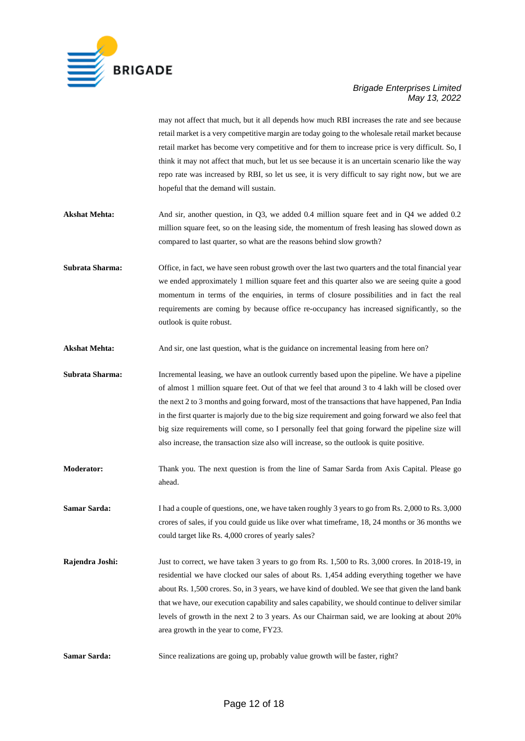

may not affect that much, but it all depends how much RBI increases the rate and see because retail market is a very competitive margin are today going to the wholesale retail market because retail market has become very competitive and for them to increase price is very difficult. So, I think it may not affect that much, but let us see because it is an uncertain scenario like the way repo rate was increased by RBI, so let us see, it is very difficult to say right now, but we are hopeful that the demand will sustain.

- **Akshat Mehta:** And sir, another question, in Q3, we added 0.4 million square feet and in Q4 we added 0.2 million square feet, so on the leasing side, the momentum of fresh leasing has slowed down as compared to last quarter, so what are the reasons behind slow growth?
- **Subrata Sharma:** Office, in fact, we have seen robust growth over the last two quarters and the total financial year we ended approximately 1 million square feet and this quarter also we are seeing quite a good momentum in terms of the enquiries, in terms of closure possibilities and in fact the real requirements are coming by because office re-occupancy has increased significantly, so the outlook is quite robust.
- **Akshat Mehta:** And sir, one last question, what is the guidance on incremental leasing from here on?
- **Subrata Sharma:** Incremental leasing, we have an outlook currently based upon the pipeline. We have a pipeline of almost 1 million square feet. Out of that we feel that around 3 to 4 lakh will be closed over the next 2 to 3 months and going forward, most of the transactions that have happened, Pan India in the first quarter is majorly due to the big size requirement and going forward we also feel that big size requirements will come, so I personally feel that going forward the pipeline size will also increase, the transaction size also will increase, so the outlook is quite positive.
- **Moderator:** Thank you. The next question is from the line of Samar Sarda from Axis Capital. Please go ahead.
- **Samar Sarda:** I had a couple of questions, one, we have taken roughly 3 years to go from Rs. 2,000 to Rs. 3,000 crores of sales, if you could guide us like over what timeframe, 18, 24 months or 36 months we could target like Rs. 4,000 crores of yearly sales?
- **Rajendra Joshi:** Just to correct, we have taken 3 years to go from Rs. 1,500 to Rs. 3,000 crores. In 2018-19, in residential we have clocked our sales of about Rs. 1,454 adding everything together we have about Rs. 1,500 crores. So, in 3 years, we have kind of doubled. We see that given the land bank that we have, our execution capability and sales capability, we should continue to deliver similar levels of growth in the next 2 to 3 years. As our Chairman said, we are looking at about 20% area growth in the year to come, FY23.
- **Samar Sarda:** Since realizations are going up, probably value growth will be faster, right?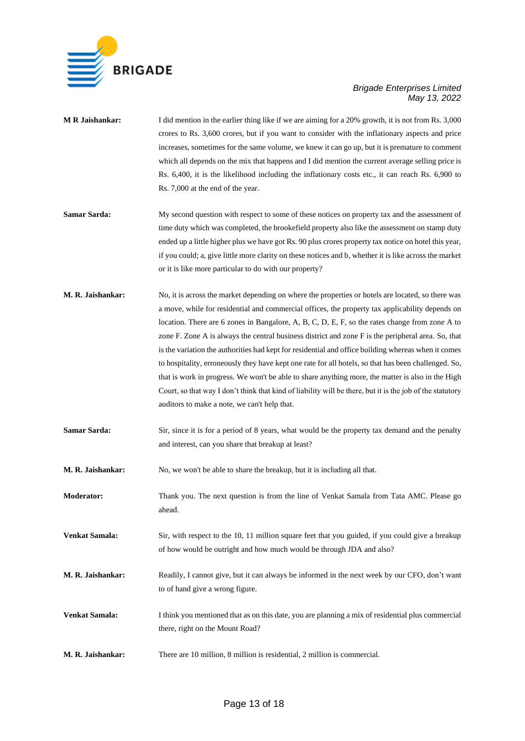

| <b>MR</b> Jaishankar: | I did mention in the earlier thing like if we are aiming for a 20% growth, it is not from Rs. 3,000<br>crores to Rs. 3,600 crores, but if you want to consider with the inflationary aspects and price<br>increases, sometimes for the same volume, we knew it can go up, but it is premature to comment<br>which all depends on the mix that happens and I did mention the current average selling price is<br>Rs. 6,400, it is the likelihood including the inflationary costs etc., it can reach Rs. 6,900 to<br>Rs. 7,000 at the end of the year.                                                                                                                                                                                                                                                                                                                                         |
|-----------------------|-----------------------------------------------------------------------------------------------------------------------------------------------------------------------------------------------------------------------------------------------------------------------------------------------------------------------------------------------------------------------------------------------------------------------------------------------------------------------------------------------------------------------------------------------------------------------------------------------------------------------------------------------------------------------------------------------------------------------------------------------------------------------------------------------------------------------------------------------------------------------------------------------|
| Samar Sarda:          | My second question with respect to some of these notices on property tax and the assessment of<br>time duty which was completed, the brookefield property also like the assessment on stamp duty<br>ended up a little higher plus we have got Rs. 90 plus crores property tax notice on hotel this year,<br>if you could; a, give little more clarity on these notices and b, whether it is like across the market<br>or it is like more particular to do with our property?                                                                                                                                                                                                                                                                                                                                                                                                                  |
| M. R. Jaishankar:     | No, it is across the market depending on where the properties or hotels are located, so there was<br>a move, while for residential and commercial offices, the property tax applicability depends on<br>location. There are 6 zones in Bangalore, A, B, C, D, E, F, so the rates change from zone A to<br>zone F. Zone A is always the central business district and zone F is the peripheral area. So, that<br>is the variation the authorities had kept for residential and office building whereas when it comes<br>to hospitality, erroneously they have kept one rate for all hotels, so that has been challenged. So,<br>that is work in progress. We won't be able to share anything more, the matter is also in the High<br>Court, so that way I don't think that kind of liability will be there, but it is the job of the statutory<br>auditors to make a note, we can't help that. |
| <b>Samar Sarda:</b>   | Sir, since it is for a period of 8 years, what would be the property tax demand and the penalty<br>and interest, can you share that breakup at least?                                                                                                                                                                                                                                                                                                                                                                                                                                                                                                                                                                                                                                                                                                                                         |
| M. R. Jaishankar:     | No, we won't be able to share the breakup, but it is including all that.                                                                                                                                                                                                                                                                                                                                                                                                                                                                                                                                                                                                                                                                                                                                                                                                                      |
| <b>Moderator:</b>     | Thank you. The next question is from the line of Venkat Samala from Tata AMC. Please go<br>ahead.                                                                                                                                                                                                                                                                                                                                                                                                                                                                                                                                                                                                                                                                                                                                                                                             |
| <b>Venkat Samala:</b> | Sir, with respect to the 10, 11 million square feet that you guided, if you could give a breakup<br>of how would be outright and how much would be through JDA and also?                                                                                                                                                                                                                                                                                                                                                                                                                                                                                                                                                                                                                                                                                                                      |
| M. R. Jaishankar:     | Readily, I cannot give, but it can always be informed in the next week by our CFO, don't want<br>to of hand give a wrong figure.                                                                                                                                                                                                                                                                                                                                                                                                                                                                                                                                                                                                                                                                                                                                                              |
| <b>Venkat Samala:</b> | I think you mentioned that as on this date, you are planning a mix of residential plus commercial<br>there, right on the Mount Road?                                                                                                                                                                                                                                                                                                                                                                                                                                                                                                                                                                                                                                                                                                                                                          |
| M. R. Jaishankar:     | There are 10 million, 8 million is residential, 2 million is commercial.                                                                                                                                                                                                                                                                                                                                                                                                                                                                                                                                                                                                                                                                                                                                                                                                                      |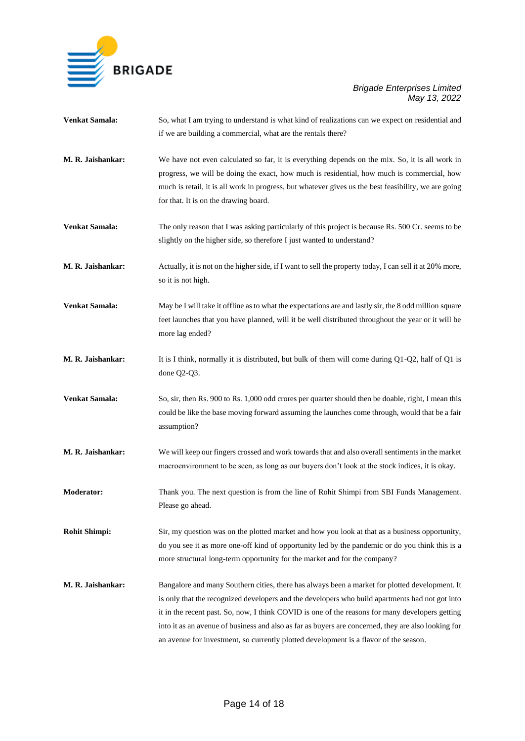

| Venkat Samala:        | So, what I am trying to understand is what kind of realizations can we expect on residential and<br>if we are building a commercial, what are the rentals there?                                                                                                                                                                                                                                                                                                                                     |
|-----------------------|------------------------------------------------------------------------------------------------------------------------------------------------------------------------------------------------------------------------------------------------------------------------------------------------------------------------------------------------------------------------------------------------------------------------------------------------------------------------------------------------------|
| M. R. Jaishankar:     | We have not even calculated so far, it is everything depends on the mix. So, it is all work in<br>progress, we will be doing the exact, how much is residential, how much is commercial, how<br>much is retail, it is all work in progress, but whatever gives us the best feasibility, we are going<br>for that. It is on the drawing board.                                                                                                                                                        |
| Venkat Samala:        | The only reason that I was asking particularly of this project is because Rs. 500 Cr. seems to be<br>slightly on the higher side, so therefore I just wanted to understand?                                                                                                                                                                                                                                                                                                                          |
| M. R. Jaishankar:     | Actually, it is not on the higher side, if I want to sell the property today, I can sell it at 20% more,<br>so it is not high.                                                                                                                                                                                                                                                                                                                                                                       |
| <b>Venkat Samala:</b> | May be I will take it offline as to what the expectations are and lastly sir, the 8 odd million square<br>feet launches that you have planned, will it be well distributed throughout the year or it will be<br>more lag ended?                                                                                                                                                                                                                                                                      |
| M. R. Jaishankar:     | It is I think, normally it is distributed, but bulk of them will come during $Q1-Q2$ , half of $Q1$ is<br>done Q2-Q3.                                                                                                                                                                                                                                                                                                                                                                                |
| <b>Venkat Samala:</b> | So, sir, then Rs. 900 to Rs. 1,000 odd crores per quarter should then be doable, right, I mean this<br>could be like the base moving forward assuming the launches come through, would that be a fair<br>assumption?                                                                                                                                                                                                                                                                                 |
| M. R. Jaishankar:     | We will keep our fingers crossed and work towards that and also overall sentiments in the market<br>macroenvironment to be seen, as long as our buyers don't look at the stock indices, it is okay.                                                                                                                                                                                                                                                                                                  |
| <b>Moderator:</b>     | Thank you. The next question is from the line of Rohit Shimpi from SBI Funds Management.<br>Please go ahead.                                                                                                                                                                                                                                                                                                                                                                                         |
| <b>Rohit Shimpi:</b>  | Sir, my question was on the plotted market and how you look at that as a business opportunity,<br>do you see it as more one-off kind of opportunity led by the pandemic or do you think this is a<br>more structural long-term opportunity for the market and for the company?                                                                                                                                                                                                                       |
| M. R. Jaishankar:     | Bangalore and many Southern cities, there has always been a market for plotted development. It<br>is only that the recognized developers and the developers who build apartments had not got into<br>it in the recent past. So, now, I think COVID is one of the reasons for many developers getting<br>into it as an avenue of business and also as far as buyers are concerned, they are also looking for<br>an avenue for investment, so currently plotted development is a flavor of the season. |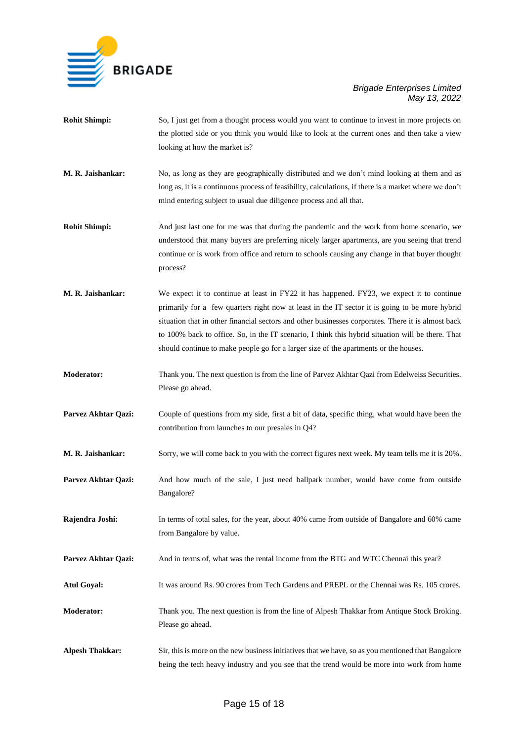

- **Rohit Shimpi:** So, I just get from a thought process would you want to continue to invest in more projects on the plotted side or you think you would like to look at the current ones and then take a view looking at how the market is?
- **M. R. Jaishankar:** No, as long as they are geographically distributed and we don't mind looking at them and as long as, it is a continuous process of feasibility, calculations, if there is a market where we don't mind entering subject to usual due diligence process and all that.
- **Rohit Shimpi:** And just last one for me was that during the pandemic and the work from home scenario, we understood that many buyers are preferring nicely larger apartments, are you seeing that trend continue or is work from office and return to schools causing any change in that buyer thought process?
- **M. R. Jaishankar:** We expect it to continue at least in FY22 it has happened. FY23, we expect it to continue primarily for a few quarters right now at least in the IT sector it is going to be more hybrid situation that in other financial sectors and other businesses corporates. There it is almost back to 100% back to office. So, in the IT scenario, I think this hybrid situation will be there. That should continue to make people go for a larger size of the apartments or the houses.
- **Moderator:** Thank you. The next question is from the line of Parvez Akhtar Qazi from Edelweiss Securities. Please go ahead.
- **Parvez Akhtar Qazi:** Couple of questions from my side, first a bit of data, specific thing, what would have been the contribution from launches to our presales in Q4?
- **M. R. Jaishankar:** Sorry, we will come back to you with the correct figures next week. My team tells me it is 20%.
- Parvez Akhtar Qazi: And how much of the sale, I just need ballpark number, would have come from outside Bangalore?
- **Rajendra Joshi:** In terms of total sales, for the year, about 40% came from outside of Bangalore and 60% came from Bangalore by value.
- **Parvez Akhtar Qazi:** And in terms of, what was the rental income from the BTG and WTC Chennai this year?
- **Atul Goyal:** It was around Rs. 90 crores from Tech Gardens and PREPL or the Chennai was Rs. 105 crores.
- **Moderator:** Thank you. The next question is from the line of Alpesh Thakkar from Antique Stock Broking. Please go ahead.
- **Alpesh Thakkar:** Sir, this is more on the new business initiatives that we have, so as you mentioned that Bangalore being the tech heavy industry and you see that the trend would be more into work from home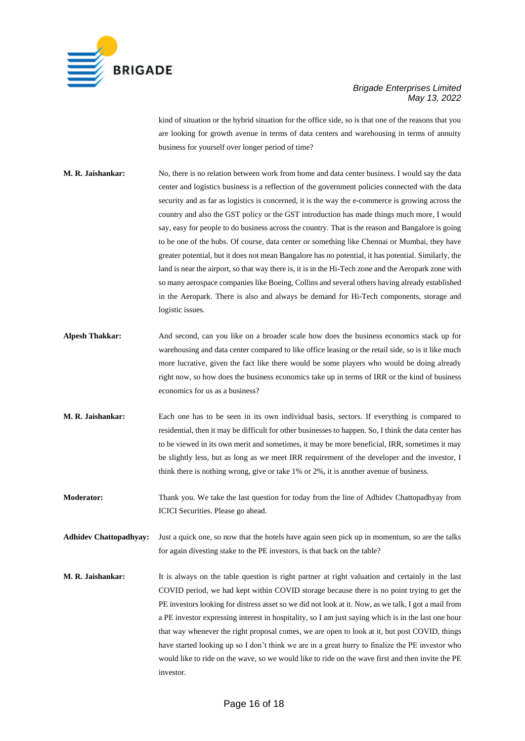

kind of situation or the hybrid situation for the office side, so is that one of the reasons that you are looking for growth avenue in terms of data centers and warehousing in terms of annuity business for yourself over longer period of time?

- **M. R. Jaishankar:** No, there is no relation between work from home and data center business. I would say the data center and logistics business is a reflection of the government policies connected with the data security and as far as logistics is concerned, it is the way the e-commerce is growing across the country and also the GST policy or the GST introduction has made things much more, I would say, easy for people to do business across the country. That is the reason and Bangalore is going to be one of the hubs. Of course, data center or something like Chennai or Mumbai, they have greater potential, but it does not mean Bangalore has no potential, it has potential. Similarly, the land is near the airport, so that way there is, it is in the Hi-Tech zone and the Aeropark zone with so many aerospace companies like Boeing, Collins and several others having already established in the Aeropark. There is also and always be demand for Hi-Tech components, storage and logistic issues.
- **Alpesh Thakkar:** And second, can you like on a broader scale how does the business economics stack up for warehousing and data center compared to like office leasing or the retail side, so is it like much more lucrative, given the fact like there would be some players who would be doing already right now, so how does the business economics take up in terms of IRR or the kind of business economics for us as a business?
- **M. R. Jaishankar:** Each one has to be seen in its own individual basis, sectors. If everything is compared to residential, then it may be difficult for other businesses to happen. So, I think the data center has to be viewed in its own merit and sometimes, it may be more beneficial, IRR, sometimes it may be slightly less, but as long as we meet IRR requirement of the developer and the investor, I think there is nothing wrong, give or take 1% or 2%, it is another avenue of business.
- **Moderator:** Thank you. We take the last question for today from the line of Adhidev Chattopadhyay from ICICI Securities. Please go ahead.
- **Adhidev Chattopadhyay:** Just a quick one, so now that the hotels have again seen pick up in momentum, so are the talks for again divesting stake to the PE investors, is that back on the table?
- **M. R. Jaishankar:** It is always on the table question is right partner at right valuation and certainly in the last COVID period, we had kept within COVID storage because there is no point trying to get the PE investors looking for distress asset so we did not look at it. Now, as we talk, I got a mail from a PE investor expressing interest in hospitality, so I am just saying which is in the last one hour that way whenever the right proposal comes, we are open to look at it, but post COVID, things have started looking up so I don't think we are in a great hurry to finalize the PE investor who would like to ride on the wave, so we would like to ride on the wave first and then invite the PE investor.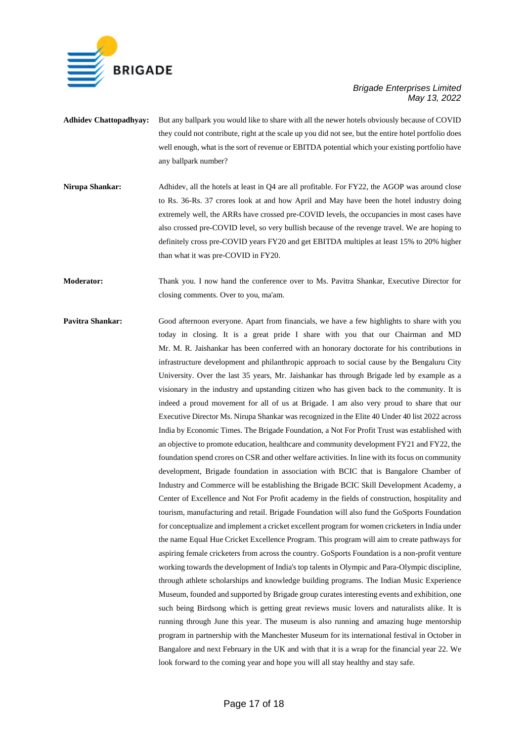

- **Adhidev Chattopadhyay:** But any ballpark you would like to share with all the newer hotels obviously because of COVID they could not contribute, right at the scale up you did not see, but the entire hotel portfolio does well enough, what is the sort of revenue or EBITDA potential which your existing portfolio have any ballpark number?
- **Nirupa Shankar:** Adhidev, all the hotels at least in Q4 are all profitable. For FY22, the AGOP was around close to Rs. 36-Rs. 37 crores look at and how April and May have been the hotel industry doing extremely well, the ARRs have crossed pre-COVID levels, the occupancies in most cases have also crossed pre-COVID level, so very bullish because of the revenge travel. We are hoping to definitely cross pre-COVID years FY20 and get EBITDA multiples at least 15% to 20% higher than what it was pre-COVID in FY20.

**Moderator:** Thank you. I now hand the conference over to Ms. Pavitra Shankar, Executive Director for closing comments. Over to you, ma'am.

**Pavitra Shankar:** Good afternoon everyone. Apart from financials, we have a few highlights to share with you today in closing. It is a great pride I share with you that our Chairman and MD Mr. M. R. Jaishankar has been conferred with an honorary doctorate for his contributions in infrastructure development and philanthropic approach to social cause by the Bengaluru City University. Over the last 35 years, Mr. Jaishankar has through Brigade led by example as a visionary in the industry and upstanding citizen who has given back to the community. It is indeed a proud movement for all of us at Brigade. I am also very proud to share that our Executive Director Ms. Nirupa Shankar was recognized in the Elite 40 Under 40 list 2022 across India by Economic Times. The Brigade Foundation, a Not For Profit Trust was established with an objective to promote education, healthcare and community development FY21 and FY22, the foundation spend crores on CSR and other welfare activities. In line with its focus on community development, Brigade foundation in association with BCIC that is Bangalore Chamber of Industry and Commerce will be establishing the Brigade BCIC Skill Development Academy, a Center of Excellence and Not For Profit academy in the fields of construction, hospitality and tourism, manufacturing and retail. Brigade Foundation will also fund the GoSports Foundation for conceptualize and implement a cricket excellent program for women cricketers in India under the name Equal Hue Cricket Excellence Program. This program will aim to create pathways for aspiring female cricketers from across the country. GoSports Foundation is a non-profit venture working towards the development of India's top talents in Olympic and Para-Olympic discipline, through athlete scholarships and knowledge building programs. The Indian Music Experience Museum, founded and supported by Brigade group curates interesting events and exhibition, one such being Birdsong which is getting great reviews music lovers and naturalists alike. It is running through June this year. The museum is also running and amazing huge mentorship program in partnership with the Manchester Museum for its international festival in October in Bangalore and next February in the UK and with that it is a wrap for the financial year 22. We look forward to the coming year and hope you will all stay healthy and stay safe.